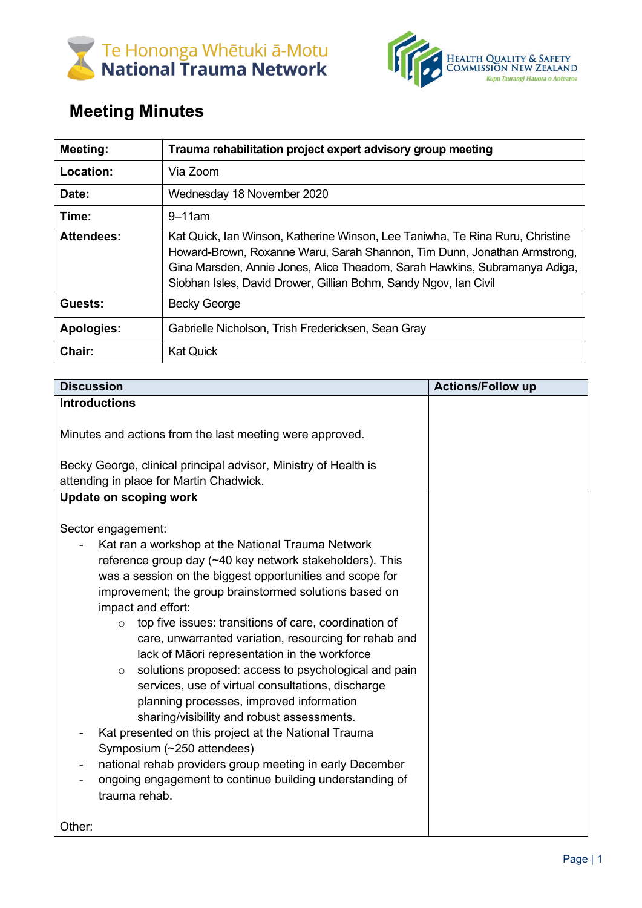



## **Meeting Minutes**

| Meeting:          | Trauma rehabilitation project expert advisory group meeting                                                                                                                                                                                                                                                 |
|-------------------|-------------------------------------------------------------------------------------------------------------------------------------------------------------------------------------------------------------------------------------------------------------------------------------------------------------|
| Location:         | Via Zoom                                                                                                                                                                                                                                                                                                    |
| Date:             | Wednesday 18 November 2020                                                                                                                                                                                                                                                                                  |
| Time:             | $9 - 11$ am                                                                                                                                                                                                                                                                                                 |
| <b>Attendees:</b> | Kat Quick, Ian Winson, Katherine Winson, Lee Taniwha, Te Rina Ruru, Christine<br>Howard-Brown, Roxanne Waru, Sarah Shannon, Tim Dunn, Jonathan Armstrong,<br>Gina Marsden, Annie Jones, Alice Theadom, Sarah Hawkins, Subramanya Adiga,<br>Siobhan Isles, David Drower, Gillian Bohm, Sandy Ngov, Ian Civil |
| Guests:           | <b>Becky George</b>                                                                                                                                                                                                                                                                                         |
| <b>Apologies:</b> | Gabrielle Nicholson, Trish Fredericksen, Sean Gray                                                                                                                                                                                                                                                          |
| Chair:            | <b>Kat Quick</b>                                                                                                                                                                                                                                                                                            |

| <b>Discussion</b>                                                                                                                                                                                                                                                                                                                                                                                                                                                                                                                                                                                                                                                                                                                                                                                                                                                                                              | <b>Actions/Follow up</b> |
|----------------------------------------------------------------------------------------------------------------------------------------------------------------------------------------------------------------------------------------------------------------------------------------------------------------------------------------------------------------------------------------------------------------------------------------------------------------------------------------------------------------------------------------------------------------------------------------------------------------------------------------------------------------------------------------------------------------------------------------------------------------------------------------------------------------------------------------------------------------------------------------------------------------|--------------------------|
| <b>Introductions</b>                                                                                                                                                                                                                                                                                                                                                                                                                                                                                                                                                                                                                                                                                                                                                                                                                                                                                           |                          |
| Minutes and actions from the last meeting were approved.                                                                                                                                                                                                                                                                                                                                                                                                                                                                                                                                                                                                                                                                                                                                                                                                                                                       |                          |
| Becky George, clinical principal advisor, Ministry of Health is                                                                                                                                                                                                                                                                                                                                                                                                                                                                                                                                                                                                                                                                                                                                                                                                                                                |                          |
| attending in place for Martin Chadwick.                                                                                                                                                                                                                                                                                                                                                                                                                                                                                                                                                                                                                                                                                                                                                                                                                                                                        |                          |
| Update on scoping work                                                                                                                                                                                                                                                                                                                                                                                                                                                                                                                                                                                                                                                                                                                                                                                                                                                                                         |                          |
| Sector engagement:<br>Kat ran a workshop at the National Trauma Network<br>reference group day (~40 key network stakeholders). This<br>was a session on the biggest opportunities and scope for<br>improvement; the group brainstormed solutions based on<br>impact and effort:<br>top five issues: transitions of care, coordination of<br>$\circ$<br>care, unwarranted variation, resourcing for rehab and<br>lack of Māori representation in the workforce<br>solutions proposed: access to psychological and pain<br>$\circ$<br>services, use of virtual consultations, discharge<br>planning processes, improved information<br>sharing/visibility and robust assessments.<br>Kat presented on this project at the National Trauma<br>Symposium (~250 attendees)<br>national rehab providers group meeting in early December<br>ongoing engagement to continue building understanding of<br>trauma rehab. |                          |
| Other:                                                                                                                                                                                                                                                                                                                                                                                                                                                                                                                                                                                                                                                                                                                                                                                                                                                                                                         |                          |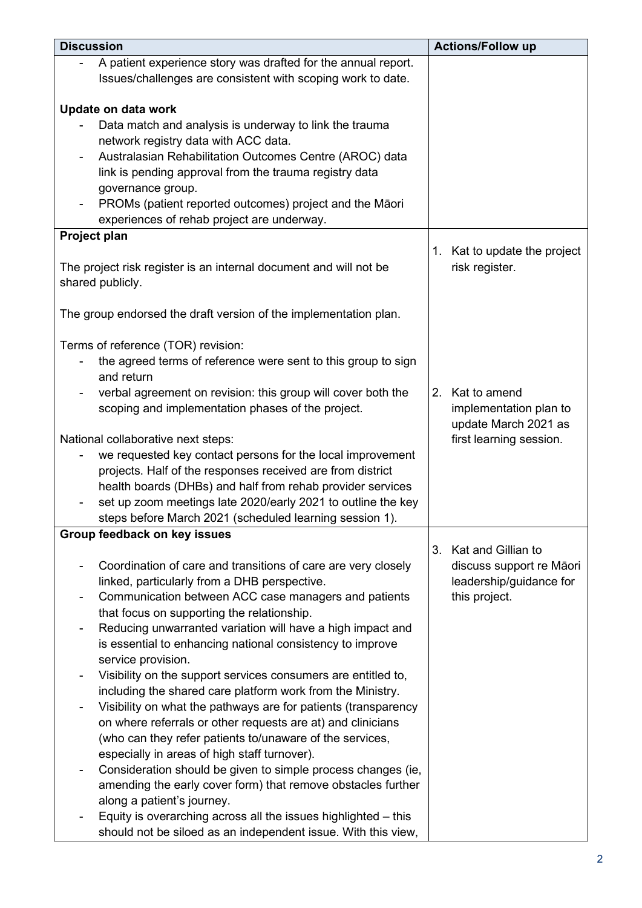| <b>Discussion</b>                                                                                                             | <b>Actions/Follow up</b>     |
|-------------------------------------------------------------------------------------------------------------------------------|------------------------------|
| A patient experience story was drafted for the annual report.                                                                 |                              |
| Issues/challenges are consistent with scoping work to date.                                                                   |                              |
|                                                                                                                               |                              |
| Update on data work                                                                                                           |                              |
| Data match and analysis is underway to link the trauma                                                                        |                              |
| network registry data with ACC data.                                                                                          |                              |
| Australasian Rehabilitation Outcomes Centre (AROC) data                                                                       |                              |
| link is pending approval from the trauma registry data<br>governance group.                                                   |                              |
| PROMs (patient reported outcomes) project and the Māori                                                                       |                              |
| experiences of rehab project are underway.                                                                                    |                              |
| Project plan                                                                                                                  |                              |
|                                                                                                                               | 1. Kat to update the project |
| The project risk register is an internal document and will not be                                                             | risk register.               |
| shared publicly.                                                                                                              |                              |
|                                                                                                                               |                              |
| The group endorsed the draft version of the implementation plan.                                                              |                              |
|                                                                                                                               |                              |
| Terms of reference (TOR) revision:                                                                                            |                              |
| the agreed terms of reference were sent to this group to sign                                                                 |                              |
| and return                                                                                                                    |                              |
| verbal agreement on revision: this group will cover both the                                                                  | Kat to amend<br>2.           |
| scoping and implementation phases of the project.                                                                             | implementation plan to       |
|                                                                                                                               | update March 2021 as         |
| National collaborative next steps:                                                                                            | first learning session.      |
| we requested key contact persons for the local improvement<br>projects. Half of the responses received are from district      |                              |
| health boards (DHBs) and half from rehab provider services                                                                    |                              |
| set up zoom meetings late 2020/early 2021 to outline the key                                                                  |                              |
| steps before March 2021 (scheduled learning session 1).                                                                       |                              |
| Group feedback on key issues                                                                                                  |                              |
|                                                                                                                               | Kat and Gillian to<br>3.     |
| Coordination of care and transitions of care are very closely                                                                 | discuss support re Māori     |
| linked, particularly from a DHB perspective.                                                                                  | leadership/guidance for      |
| Communication between ACC case managers and patients                                                                          | this project.                |
| that focus on supporting the relationship.                                                                                    |                              |
| Reducing unwarranted variation will have a high impact and                                                                    |                              |
| is essential to enhancing national consistency to improve                                                                     |                              |
| service provision.                                                                                                            |                              |
| Visibility on the support services consumers are entitled to,                                                                 |                              |
| including the shared care platform work from the Ministry.                                                                    |                              |
| Visibility on what the pathways are for patients (transparency<br>on where referrals or other requests are at) and clinicians |                              |
| (who can they refer patients to/unaware of the services,                                                                      |                              |
| especially in areas of high staff turnover).                                                                                  |                              |
| Consideration should be given to simple process changes (ie,                                                                  |                              |
| amending the early cover form) that remove obstacles further                                                                  |                              |
| along a patient's journey.                                                                                                    |                              |
| Equity is overarching across all the issues highlighted - this                                                                |                              |
| should not be siloed as an independent issue. With this view,                                                                 |                              |